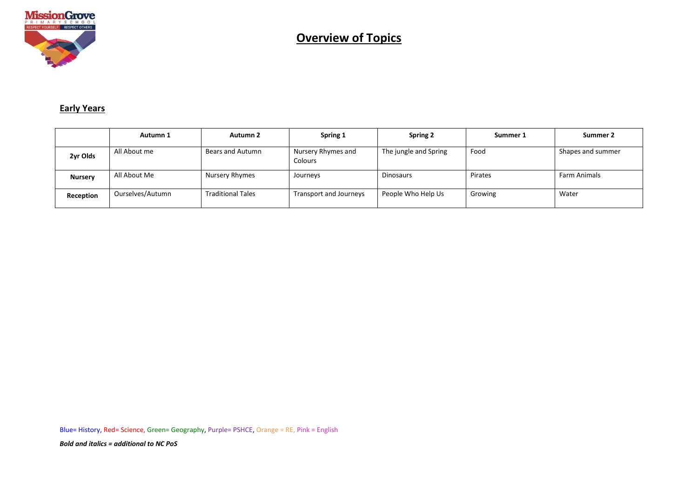

#### **Early Years**

|                | Autumn 1         | Autumn 2                 | Spring 1                      | <b>Spring 2</b>       | Summer 1 | Summer 2            |
|----------------|------------------|--------------------------|-------------------------------|-----------------------|----------|---------------------|
| 2yr Olds       | All About me     | Bears and Autumn         | Nursery Rhymes and<br>Colours | The jungle and Spring | Food     | Shapes and summer   |
| <b>Nursery</b> | All About Me     | Nursery Rhymes           | Journeys                      | Dinosaurs             | Pirates  | <b>Farm Animals</b> |
| Reception      | Ourselves/Autumn | <b>Traditional Tales</b> | Transport and Journeys        | People Who Help Us    | Growing  | Water               |

Blue= History, Red= Science, Green= Geography, Purple= PSHCE, Orange = RE, Pink = English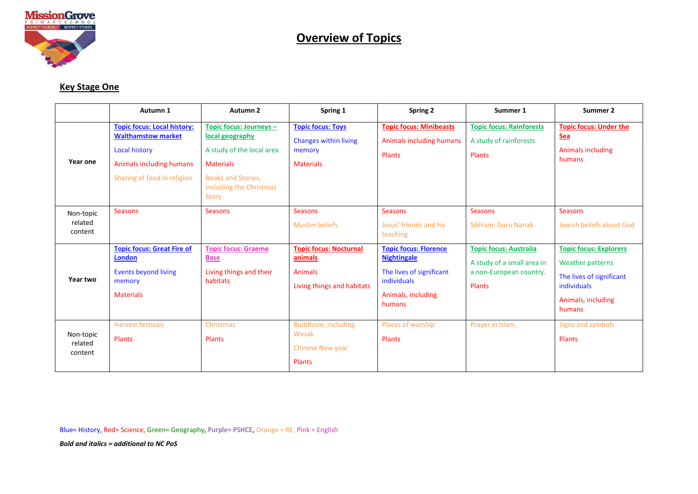

### **Key Stage One**

|                                 | Autumn 1                                                                                                                                           | Autumn 2                                                                                                                                                            | Spring 1                                                                                 | <b>Spring 2</b>                                                                                                               | Summer 1                                                                                         | Summer 2                                                                                                                            |
|---------------------------------|----------------------------------------------------------------------------------------------------------------------------------------------------|---------------------------------------------------------------------------------------------------------------------------------------------------------------------|------------------------------------------------------------------------------------------|-------------------------------------------------------------------------------------------------------------------------------|--------------------------------------------------------------------------------------------------|-------------------------------------------------------------------------------------------------------------------------------------|
| Year one                        | <b>Topic focus: Local history:</b><br><b>Walthamstow market</b><br><b>Local history</b><br>Animals including humans<br>Sharing of food in religion | Topic focus: Journeys -<br>local geography<br>A study of the local area<br><b>Materials</b><br><b>Books and Stories,</b><br>including the Christmas<br><b>Story</b> | <b>Topic focus: Toys</b><br>Changes within living<br>memory<br><b>Materials</b>          | <b>Topic focus: Minibeasts</b><br>Animals including humans<br><b>Plants</b>                                                   | <b>Topic focus: Rainforests</b><br>A study of rainforests<br>Plants                              | <b>Topic focus: Under the</b><br><u>Sea</u><br><b>Animals including</b><br>humans                                                   |
| Non-topic<br>related<br>content | <b>Seasons</b>                                                                                                                                     | <b>Seasons</b>                                                                                                                                                      | <b>Seasons</b><br><b>Muslim beliefs</b>                                                  | <b>Seasons</b><br>Jesus' friends and his<br>teaching                                                                          | <b>Seasons</b><br>Sikhism: Guru Nanak                                                            | <b>Seasons</b><br>Jewish beliefs about God                                                                                          |
| Year two                        | <b>Topic focus: Great Fire of</b><br><b>London</b><br><b>Events beyond living</b><br>memory<br><b>Materials</b>                                    | <b>Topic focus: Graeme</b><br><b>Base</b><br>Living things and their<br>habitats                                                                                    | <b>Topic focus: Nocturnal</b><br>animals<br><b>Animals</b><br>Living things and habitats | <b>Topic focus: Florence</b><br><b>Nightingale</b><br>The lives of significant<br>individuals<br>Animals, including<br>humans | <b>Topic focus: Australia</b><br>A study of a small area in<br>a non-European country.<br>Plants | <b>Topic focus: Explorers</b><br><b>Weather patterns</b><br>The lives of significant<br>individuals<br>Animals, including<br>humans |
| Non-topic<br>related<br>content | <b>Harvest festivals</b><br>Plants                                                                                                                 | Christmas<br>Plants                                                                                                                                                 | Buddhism, including<br>Wesak<br>Chinese New year<br><b>Plants</b>                        | Places of worship<br>Plants                                                                                                   | Prayer in Islam                                                                                  | Signs and symbols<br>Plants                                                                                                         |

Blue= History, Red= Science, Green= Geography, Purple= PSHCE, Orange = RE, Pink = English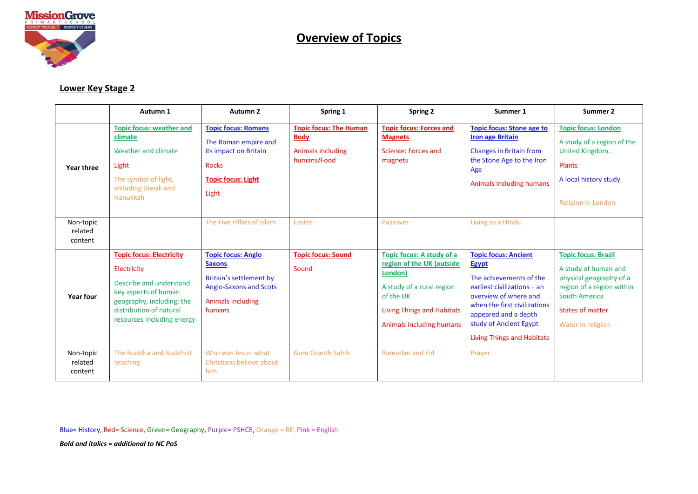

#### **Lower Key Stage 2**

|                                 | Autumn 1                                                                                                                                                                                | Autumn <sub>2</sub>                                                                                                                          | Spring 1                                                                         | <b>Spring 2</b>                                                                                                                                                              | Summer 1                                                                                                                                                                                                                                              | Summer 2                                                                                                                                                                           |
|---------------------------------|-----------------------------------------------------------------------------------------------------------------------------------------------------------------------------------------|----------------------------------------------------------------------------------------------------------------------------------------------|----------------------------------------------------------------------------------|------------------------------------------------------------------------------------------------------------------------------------------------------------------------------|-------------------------------------------------------------------------------------------------------------------------------------------------------------------------------------------------------------------------------------------------------|------------------------------------------------------------------------------------------------------------------------------------------------------------------------------------|
| Year three                      | <b>Topic focus: weather and</b><br>climate<br>Weather and climate<br>Light<br>The symbol of light,<br>including Diwali and<br>Hanukkah                                                  | <b>Topic focus: Romans</b><br>The Roman empire and<br>its impact on Britain<br><b>Rocks</b><br><b>Topic focus: Light</b><br>Light            | <b>Topic focus: The Human</b><br><b>Body</b><br>Animals including<br>humans/Food | <b>Topic focus: Forces and</b><br><b>Magnets</b><br>Science: Forces and<br>magnets                                                                                           | <b>Topic focus: Stone age to</b><br><b>Iron age Britain</b><br><b>Changes in Britain from</b><br>the Stone Age to the Iron<br>Age<br>Animals including humans                                                                                         | <b>Topic focus: London</b><br>A study of a region of the<br>United Kingdom.<br>Plants<br>A local history study<br>Religion in London                                               |
| Non-topic<br>related<br>content |                                                                                                                                                                                         | The Five Pillars of Islam                                                                                                                    | Easter                                                                           | Passover                                                                                                                                                                     | Living as a Hindu                                                                                                                                                                                                                                     |                                                                                                                                                                                    |
| <b>Year four</b>                | <b>Topic focus: Electricity</b><br>Electricity<br>Describe and understand<br>key aspects of human<br>geography, including: the<br>distribution of natural<br>resources including energy | <b>Topic focus: Anglo</b><br><b>Saxons</b><br>Britain's settlement by<br><b>Anglo-Saxons and Scots</b><br><b>Animals including</b><br>humans | <b>Topic focus: Sound</b><br>Sound                                               | Topic focus: A study of a<br>region of the UK (outside<br>London)<br>A study of a rural region<br>of the UK<br><b>Living Things and Habitats</b><br>Animals including humans | <b>Topic focus: Ancient</b><br><b>Egypt</b><br>The achievements of the<br>earliest civilizations - an<br>overview of where and<br>when the first civilizations<br>appeared and a depth<br>study of Ancient Egypt<br><b>Living Things and Habitats</b> | <b>Topic focus: Brazil</b><br>A study of human and<br>physical geography of a<br>region of a region within<br><b>South America</b><br><b>States of matter</b><br>Water in religion |
| Non-topic<br>related<br>content | The Buddha and Buddhist<br>teaching                                                                                                                                                     | Who was Jesus: what<br>Christians believe about<br>him                                                                                       | <b>Guru Granth Sahib</b>                                                         | <b>Ramadan and Eid</b>                                                                                                                                                       | Prayer                                                                                                                                                                                                                                                |                                                                                                                                                                                    |

Blue= History, Red= Science, Green= Geography, Purple= PSHCE, Orange = RE, Pink = English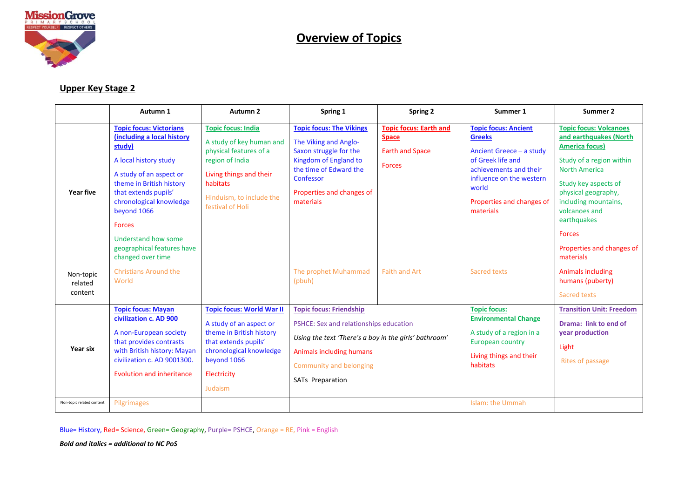

#### **Upper Key Stage 2**

|                                 | Autumn 1                                                                                                                                                                                                                                                                                                            | Autumn 2                                                                                                                                                                                  | Spring 1                                                                                                                                                                                                     | Spring 2                                                                                 | Summer 1                                                                                                                                                                                               | Summer 2                                                                                                                                                                                                                                                                                               |
|---------------------------------|---------------------------------------------------------------------------------------------------------------------------------------------------------------------------------------------------------------------------------------------------------------------------------------------------------------------|-------------------------------------------------------------------------------------------------------------------------------------------------------------------------------------------|--------------------------------------------------------------------------------------------------------------------------------------------------------------------------------------------------------------|------------------------------------------------------------------------------------------|--------------------------------------------------------------------------------------------------------------------------------------------------------------------------------------------------------|--------------------------------------------------------------------------------------------------------------------------------------------------------------------------------------------------------------------------------------------------------------------------------------------------------|
| Year five                       | <b>Topic focus: Victorians</b><br>(including a local history<br>study)<br>A local history study<br>A study of an aspect or<br>theme in British history<br>that extends pupils'<br>chronological knowledge<br>beyond 1066<br><b>Forces</b><br>Understand how some<br>geographical features have<br>changed over time | <b>Topic focus: India</b><br>A study of key human and<br>physical features of a<br>region of India<br>Living things and their<br>habitats<br>Hinduism, to include the<br>festival of Holi | <b>Topic focus: The Vikings</b><br>The Viking and Anglo-<br>Saxon struggle for the<br>Kingdom of England to<br>the time of Edward the<br>Confessor<br>Properties and changes of<br>materials                 | <b>Topic focus: Earth and</b><br><b>Space</b><br><b>Earth and Space</b><br><b>Forces</b> | <b>Topic focus: Ancient</b><br><b>Greeks</b><br>Ancient Greece - a study<br>of Greek life and<br>achievements and their<br>influence on the western<br>world<br>Properties and changes of<br>materials | <b>Topic focus: Volcanoes</b><br>and earthquakes (North<br><b>America focus)</b><br>Study of a region within<br><b>North America</b><br>Study key aspects of<br>physical geography,<br>including mountains,<br>volcanoes and<br>earthquakes<br><b>Forces</b><br>Properties and changes of<br>materials |
| Non-topic<br>related<br>content | <b>Christians Around the</b><br>World                                                                                                                                                                                                                                                                               |                                                                                                                                                                                           | The prophet Muhammad<br>(pbuh)                                                                                                                                                                               | <b>Faith and Art</b>                                                                     | <b>Sacred texts</b>                                                                                                                                                                                    | <b>Animals including</b><br>humans (puberty)<br>Sacred texts                                                                                                                                                                                                                                           |
| Year six                        | <b>Topic focus: Mayan</b><br>civilization c. AD 900<br>A non-European society<br>that provides contrasts<br>with British history: Mayan<br>civilization c. AD 9001300.<br><b>Evolution and inheritance</b>                                                                                                          | <b>Topic focus: World War II</b><br>A study of an aspect or<br>theme in British history<br>that extends pupils'<br>chronological knowledge<br>beyond 1066<br>Electricity<br>Judaism       | <b>Topic focus: Friendship</b><br>PSHCE: Sex and relationships education<br>Using the text 'There's a boy in the girls' bathroom'<br>Animals including humans<br>Community and belonging<br>SATs Preparation |                                                                                          | <b>Topic focus:</b><br><b>Environmental Change</b><br>A study of a region in a<br><b>European country</b><br>Living things and their<br>habitats                                                       | <b>Transition Unit: Freedom</b><br>Drama: link to end of<br>year production<br>Light<br>Rites of passage                                                                                                                                                                                               |
| Non-topic related content       | Pilgrimages                                                                                                                                                                                                                                                                                                         |                                                                                                                                                                                           |                                                                                                                                                                                                              |                                                                                          | Islam: the Ummah                                                                                                                                                                                       |                                                                                                                                                                                                                                                                                                        |

Blue= History, Red= Science, Green= Geography, Purple= PSHCE, Orange = RE, Pink = English